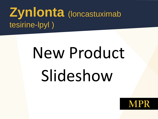# **Zynlonta** (loncastuximab tesirine-lpyl )

# New Product Slideshow

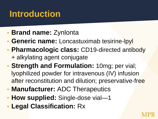# **Introduction**

- **Brand name: Zynlonta**
- **Generic name:** Loncastuximab tesirine-lpyl
- **Pharmacologic class:** CD19-directed antibody + alkylating agent conjugate
- **Strength and Formulation: 10mg; per vial;** lyophilized powder for intravenous (IV) infusion after reconstitution and dilution; preservative-free
- **Manufacturer: ADC Therapeutics**
- **How supplied:** Single-dose vial-1
- **Legal Classification:** Rx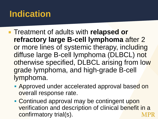# **Indication**

- **Example 1 Treatment of adults with relapsed or refractory large B-cell lymphoma** after 2 or more lines of systemic therapy, including diffuse large B-cell lymphoma (DLBCL) not otherwise specified, DLBCL arising from low grade lymphoma, and high-grade B-cell lymphoma.
	- **Approved under accelerated approval based on** overall response rate.
	- Continued approval may be contingent upon verification and description of clinical benefit in a confirmatory trial(s).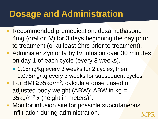# **Dosage and Administration**

- **Recommended premedication: dexamethasone** 4mg (oral or IV) for 3 days beginning the day prior to treatment (or at least 2hrs prior to treatment).
- **Administer Zynlonta by IV infusion over 30 minutes** on day 1 of each cycle (every 3 weeks).
	- 0.15mg/kg every 3 weeks for 2 cycles, then 0.075mg/kg every 3 weeks for subsequent cycles.
- For BMI ≥35kg/m<sup>2</sup>, calculate dose based on adjusted body weight (ABW): ABW in kg = 35kg/m<sup>2</sup> x (height in meters)<sup>2</sup>.
- Monitor infusion site for possible subcutaneous infiltration during administration.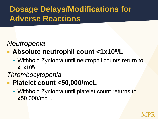## **Dosage Delays/Modifications for Adverse Reactions**

#### *Neutropenia*

#### **Absolute neutrophil count <1x10<sup>9</sup>/L**

 Withhold Zynlonta until neutrophil counts return to <mark>≥</mark>1x10<sup>9</sup>/L.

#### *Thrombocytopenia*

- **Platelet count <50,000/mcL**
	- Withhold Zynlonta until platelet count returns to ≥50,000/mcL.

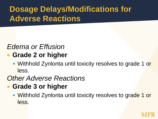## **Dosage Delays/Modifications for Adverse Reactions**

#### *Edema or Effusion*

- **Grade 2 or higher**
	- Withhold Zynlonta until toxicity resolves to grade 1 or less.

#### *Other Adverse Reactions*

- **Grade 3 or higher**
	- **Withhold Zynlonta until toxicity resolves to grade 1 or** less.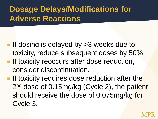## **Dosage Delays/Modifications for Adverse Reactions**

- **If dosing is delayed by >3 weeks due to** toxicity, reduce subsequent doses by 50%.
- **If toxicity reoccurs after dose reduction,** consider discontinuation.
- **If toxicity requires dose reduction after the** 2<sup>nd</sup> dose of 0.15mg/kg (Cycle 2), the patient should receive the dose of 0.075mg/kg for Cycle 3.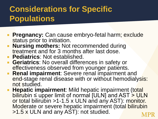## **Considerations for Specific Populations**

- **Pregnancy:** Can cause embryo-fetal harm; exclude status prior to initiation.
- **Nursing mothers:** Not recommended during treatment and for 3 months after last dose.
- **Pediatrics:** Not established.
- **Geriatrics:** No overall differences in safety or effectiveness observed from younger patients.
- **Renal impairment:** Severe renal impairment and end-stage renal disease with or without hemodialysis: not studied.
- **Hepatic impairment:** Mild hepatic impairment (total bilirubin  $\leq$  upper limit of normal [ULN] and AST  $\geq$  ULN or total bilirubin >1-1.5 x ULN and any AST): monitor. Moderate or severe hepatic impairment (total bilirubin >1.5 x ULN and any AST): not studied.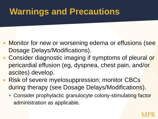# **Warnings and Precautions**

- **Monitor for new or worsening edema or effusions (see** Dosage Delays/Modifications).
- Consider diagnostic imaging if symptoms of pleural or pericardial effusion (eg, dyspnea, chest pain, and/or ascites) develop.
- **Risk of severe myelosuppression; monitor CBCs** during therapy (see Dosage Delays/Modifications).
	- Consider prophylactic granulocyte colony-stimulating factor administration as applicable.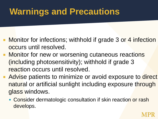# **Warnings and Precautions**

- **Monitor for infections; withhold if grade 3 or 4 infection** occurs until resolved.
- **Monitor for new or worsening cutaneous reactions** (including photosensitivity); withhold if grade 3 reaction occurs until resolved.
- **Advise patients to minimize or avoid exposure to direct** natural or artificial sunlight including exposure through glass windows.
	- Consider dermatologic consultation if skin reaction or rash develops.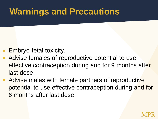# **Warnings and Precautions**

- Embryo-fetal toxicity.
- Advise females of reproductive potential to use effective contraception during and for 9 months after last dose.
- **Advise males with female partners of reproductive** potential to use effective contraception during and for 6 months after last dose.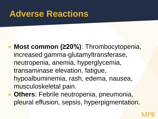## **Adverse Reactions**

- **Most common (≥20%)**: Thrombocytopenia, increased gamma-glutamyltransferase, neutropenia, anemia, hyperglycemia, transaminase elevation, fatigue, hypoalbuminemia, rash, edema, nausea, musculoskeletal pain.
- **Cthers:** Febrile neutropenia, pneumonia, pleural effusion, sepsis, hyperpigmentation.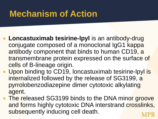# **Mechanism of Action**

- **Loncastuximab tesirine-lpyl** is an antibody-drug conjugate composed of a monoclonal IgG1 kappa antibody component that binds to human CD19, a transmembrane protein expressed on the surface of cells of B-lineage origin.
- **Upon binding to CD19, loncastuximab tesirine-lpyl is** internalized followed by the release of SG3199, a pyrrolobenzodiazepine dimer cytotoxic alkylating agent.
- **The released SG3199 binds to the DNA minor groove** and forms highly cytotoxic DNA interstrand crosslinks, subsequently inducing cell death.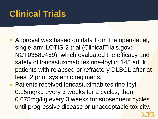# **Clinical Trials**

- **Approval was based on data from the open-label,** single-arm LOTIS-2 trial (ClinicalTrials.gov: NCT03589469), which evaluated the efficacy and safety of loncastuximab tesirine-lpyl in 145 adult patients with relapsed or refractory DLBCL after at least 2 prior systemic regimens.
- **Patients received loncastuximab tesirine-lpyl** 0.15mg/kg every 3 weeks for 2 cycles, then 0.075mg/kg every 3 weeks for subsequent cycles until progressive disease or unacceptable toxicity.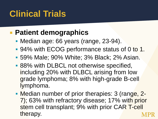# **Clinical Trials**

#### **Patient demographics**

- **Median age: 66 years (range, 23-94).**
- 94% with ECOG performance status of 0 to 1.
- 59% Male; 90% White; 3% Black; 2% Asian.
- **88% with DLBCL not otherwise specified,** including 20% with DLBCL arising from low grade lymphoma; 8% with high-grade B-cell lymphoma.
- Median number of prior therapies: 3 (range, 2-7); 63% with refractory disease; 17% with prior stem cell transplant; 9% with prior CAR T-cell therapy.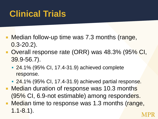# **Clinical Trials**

- Median follow-up time was 7.3 months (range, 0.3-20.2).
- Overall response rate (ORR) was 48.3% (95% CI, 39.9-56.7).
	- 24.1% (95% CI, 17.4-31.9) achieved complete response.
	- **24.1% (95% CI, 17.4-31.9) achieved partial response.**
- Median duration of response was 10.3 months (95% CI, 6.9-not estimable) among responders.
- Median time to response was 1.3 months (range, 1.1-8.1).